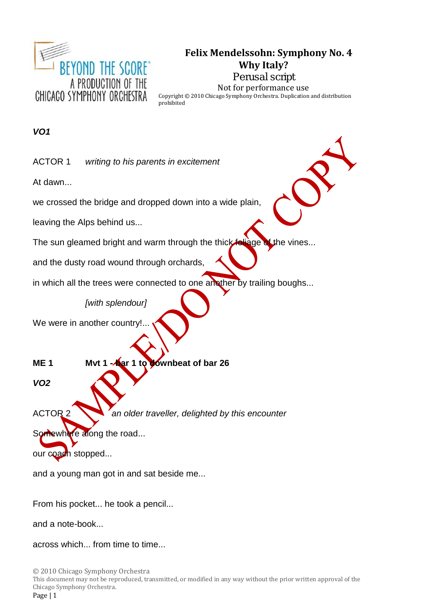

# **Felix Mendelssohn: Symphony No. 4 Why Italy?**

**Perusal script** Not for performance use Copyright © 2010 Chicago Symphony Orchestra. Duplication and distribution prohibited

*VO1*

ACTOR 1 *writing to his parents in excitement*

At dawn...

we crossed the bridge and dropped down into a wide plain,

leaving the Alps behind us...

The sun gleamed bright and warm through the thick foliage of the vines...

and the dusty road wound through orchards,

in which all the trees were connected to one another by trailing boughs...

*[with splendour]*

We were in another country!

**ME 1 Mvt 1 - bar 1 to downbeat of bar 26**

*VO2*

ACTOR 2 *an older traveller, delighted by this encounter*

Somewhere along the road...

our coach stopped...

and a young man got in and sat beside me...

From his pocket... he took a pencil...

and a note-book...

across which... from time to time...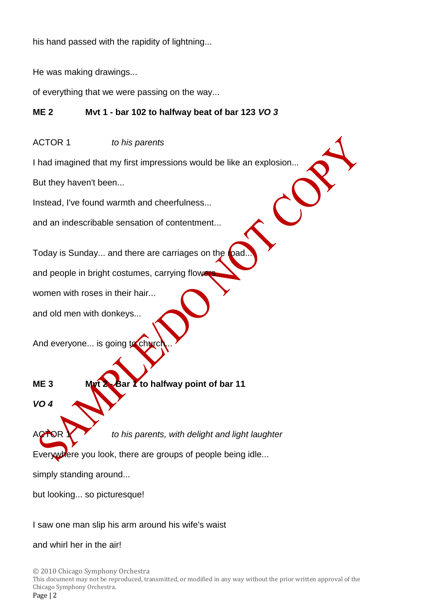his hand passed with the rapidity of lightning...

He was making drawings...

of everything that we were passing on the way...

# **ME 2 Mvt 1 - bar 102 to halfway beat of bar 123** *VO 3*

ACTOR 1 *to his parents*

I had imagined that my first impressions would be like an explosion...

But they haven't been...

Instead, I've found warmth and cheerfulness...

and an indescribable sensation of contentment...

Today is Sunday... and there are carriages on the **road** 

and people in bright costumes, carrying flow

women with roses in their hair...

and old men with donkeys...

And everyone... is going to church

**ME 3 Mvt 2 - Bar 1 to halfway point of bar 11**

*VO 4*

**NOR Y** *to his parents, with delight and light laughter* 

Everywhere you look, there are groups of people being idle...

simply standing around...

but looking... so picturesque!

I saw one man slip his arm around his wife's waist

and whirl her in the air!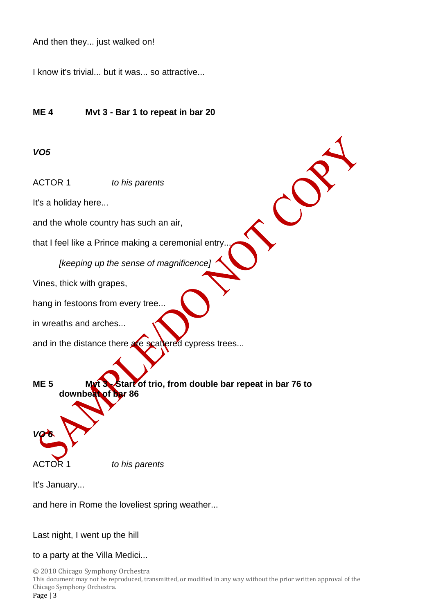And then they... just walked on!

I know it's trivial... but it was... so attractive...

## **ME 4 Mvt 3 - Bar 1 to repeat in bar 20**

### *VO5*

ACTOR 1 *to his parents*

It's a holiday here...

and the whole country has such an air,

that I feel like a Prince making a ceremonial entry.

*[keeping up the sense of magnificence]*

Vines, thick with grapes,

hang in festoons from every tree...

in wreaths and arches...

and in the distance there are scattered cypress trees...

**ME 5 Mvt 3 - Start of trio, from double bar repeat in bar 76 to downbeat of bar 86** *VO 6*

C

ACTOR 1 *to his parents*

It's January...

and here in Rome the loveliest spring weather...

Last night, I went up the hill

### to a party at the Villa Medici...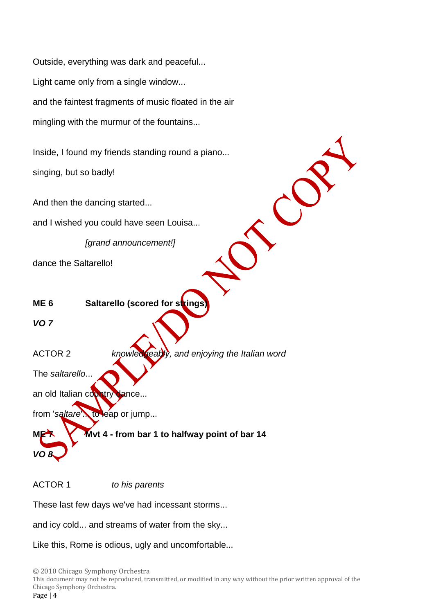Outside, everything was dark and peaceful... Light came only from a single window... and the faintest fragments of music floated in the air mingling with the murmur of the fountains...

Inside, I found my friends standing round a piano... singing, but so badly!

And then the dancing started...

and I wished you could have seen Louisa...

*[grand announcement!]*

dance the Saltarello!

**ME 6 Saltarello (scored for strings** 

*VO 7*

*VO 8*

ACTOR 2 *knowledgeably, and enjoying the Italian word*

The *saltarello*...

an old Italian country dance...

from 'saltare'... to leap or jump...

**ME 7 Mvt 4 - from bar 1 to halfway point of bar 14**

ACTOR 1 *to his parents*

These last few days we've had incessant storms...

and icy cold... and streams of water from the sky...

Like this, Rome is odious, ugly and uncomfortable...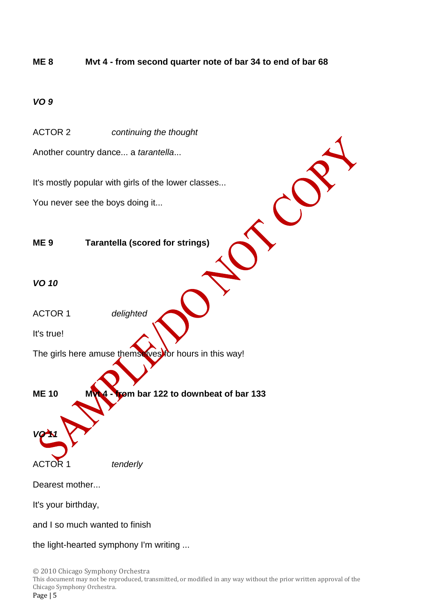# **ME 8 Mvt 4 - from second quarter note of bar 34 to end of bar 68**

# *VO 9*

ACTOR 2 *continuing the thought*

Another country dance... a *tarantella*...

It's mostly popular with girls of the lower classes...

You never see the boys doing it...

# **ME 9 Tarantella (scored for strings)**

## *VO 10*

ACTOR 1 *delighted*

It's true!

The girls here amuse themselves for hours in this way!

**ME 10 Mvt 4 - from bar 122 to downbeat of bar 133** *VO 11*

ACTOR 1 *tenderly*

Dearest mother...

It's your birthday,

and I so much wanted to finish

the light-hearted symphony I'm writing ...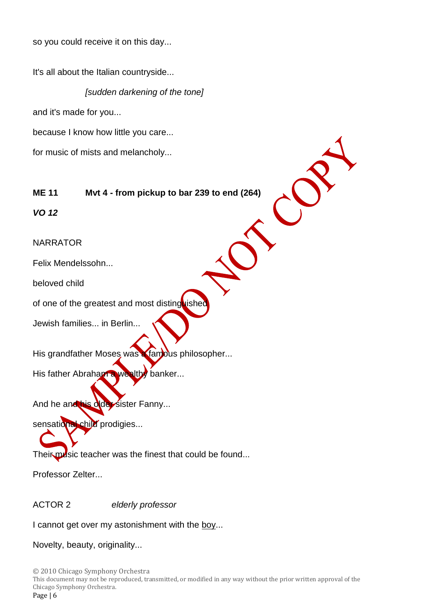so you could receive it on this day...

It's all about the Italian countryside...

*[sudden darkening of the tone]*

and it's made for you...

because I know how little you care...

for music of mists and melancholy...

**ME 11 Mvt 4 - from pickup to bar 239 to end (264)**

*VO 12*

NARRATOR

Felix Mendelssohn...

beloved child

of one of the greatest and most distinguished

Jewish families... in Berlin...

His grandfather Moses was a famous philosopher...

His father Abraham a wealthy banker...

And he and his older sister Fanny...

sensational child prodigies...

Their music teacher was the finest that could be found...

Professor Zelter...

ACTOR 2 *elderly professor*

I cannot get over my astonishment with the boy...

Novelty, beauty, originality...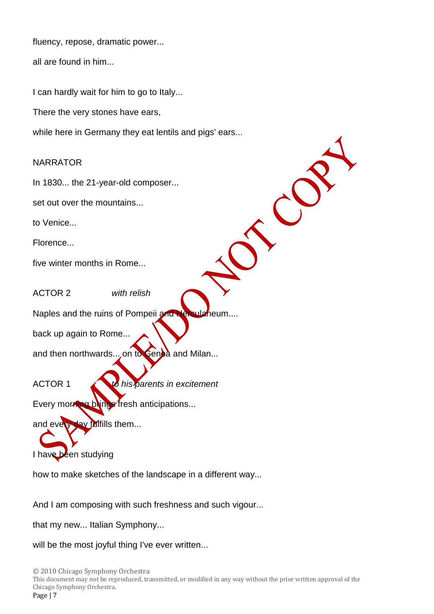fluency, repose, dramatic power...

all are found in him...

I can hardly wait for him to go to Italy...

There the very stones have ears,

while here in Germany they eat lentils and pigs' ears...

# NARRATOR

In 1830... the 21-year-old composer...

set out over the mountains...

to Venice...

Florence...

five winter months in Rome...

ACTOR 2 *with relish*

Naples and the ruins of Pompeii and Herculaneum....

back up again to Rome...

and then northwards... on to Genoa and Milan...

ACTOR 1 *to his parents in excitement*

C

Every morning blungs fresh anticipations...

and every day fulfills them...

I have been studying

how to make sketches of the landscape in a different way...

And I am composing with such freshness and such vigour...

that my new... Italian Symphony...

will be the most joyful thing I've ever written...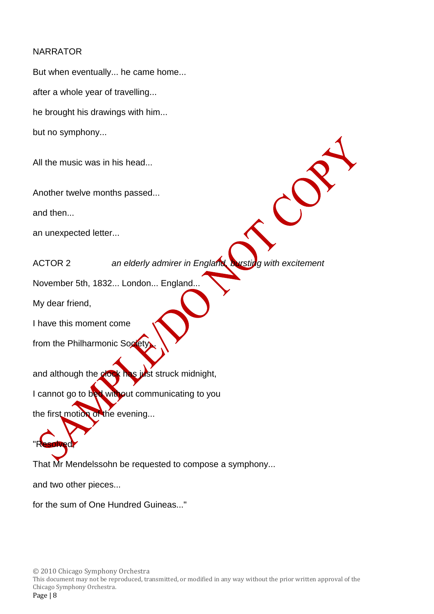## NARRATOR

But when eventually... he came home... after a whole year of travelling... he brought his drawings with him... but no symphony...

All the music was in his head...

Another twelve months passed...

and then...

an unexpected letter...

ACTOR 2 *an elderly admirer in England, bursting with excitement*

November 5th, 1832... London... England...

My dear friend,

I have this moment come

from the Philharmonic Society

and although the clock has just struck midnight,

I cannot go to bed without communicating to you

the first motion of the evening...

"Resolved,

That Mr Mendelssohn be requested to compose a symphony...

and two other pieces...

for the sum of One Hundred Guineas..."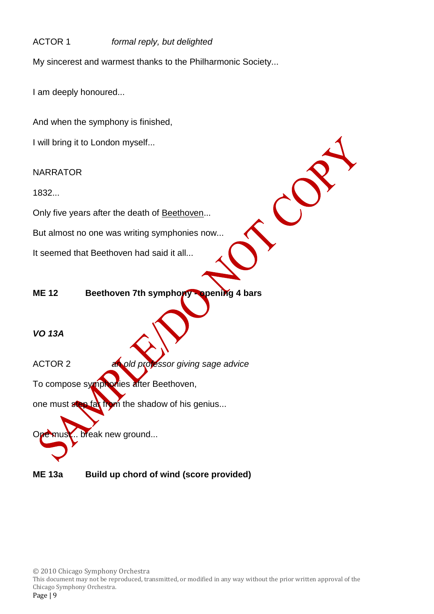# ACTOR 1 *formal reply, but delighted*

My sincerest and warmest thanks to the Philharmonic Society...

I am deeply honoured...

And when the symphony is finished,

I will bring it to London myself...

NARRATOR

1832...

Only five years after the death of Beethoven...

But almost no one was writing symphonies now...

It seemed that Beethoven had said it all...

**ME 12 Beethoven 7th symphony - opening 4 bars**

 $\mathcal{C}$ 

*VO 13A*

ACTOR 2 *an old professor giving sage advice*

To compose symphonies after Beethoven,

one must step far from the shadow of his genius...

break new ground...

**ME 13a Build up chord of wind (score provided)**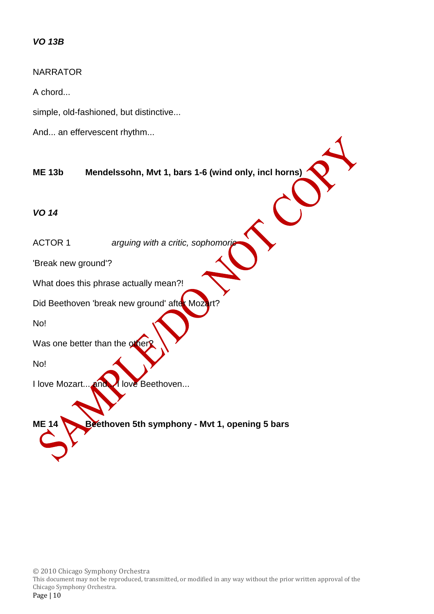### *VO 13B*

#### NARRATOR

A chord...

simple, old-fashioned, but distinctive...

And... an effervescent rhythm...

**ME 13b Mendelssohn, Mvt 1, bars 1-6 (wind only, incl horns)**

*VO 14*

ACTOR 1 *arguing with a critic, sophomor* 

'Break new ground'?

What does this phrase actually mean?!

Did Beethoven 'break new ground' after Mozart?

No!

Was one better than the other

No!

I love Mozart... and...... love Beethoven...

**ME 14 Beethoven 5th symphony - Mvt 1, opening 5 bars**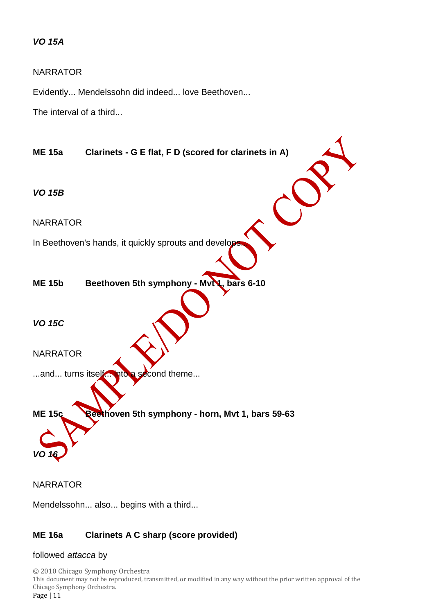## *VO 15A*

### NARRATOR

Evidently... Mendelssohn did indeed... love Beethoven...

The interval of a third...



NARRATOR

Mendelssohn... also... begins with a third...

### **ME 16a Clarinets A C sharp (score provided)**

#### followed *attacca* by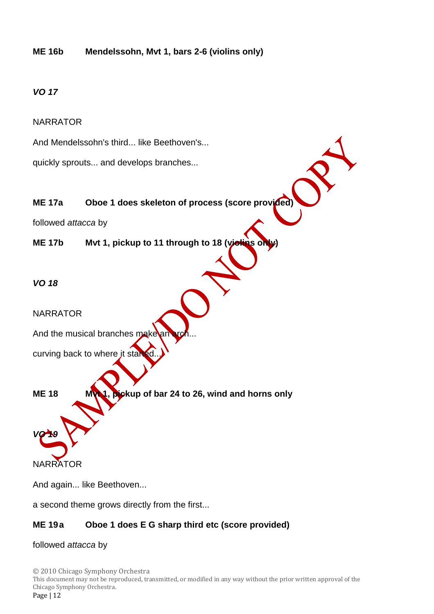# **ME 16b Mendelssohn, Mvt 1, bars 2-6 (violins only)**

# *VO 17*

### NARRATOR

And Mendelssohn's third... like Beethoven's...

quickly sprouts... and develops branches...

# **ME 17a Oboe 1 does skeleton of process (score provided)**

followed *attacca* by

**ME 17b Mvt 1, pickup to 11 through to 18 (victins only)** 

### *VO 18*

NARRATOR

And the musical branches make

curving back to where it stal

**ME 18 MVM**, **pickup** of bar 24 to 26, wind and horns only *VO 19*

**NARRATOR** 

And again... like Beethoven...

a second theme grows directly from the first...

# **ME 19a Oboe 1 does E G sharp third etc (score provided)**

#### followed *attacca* by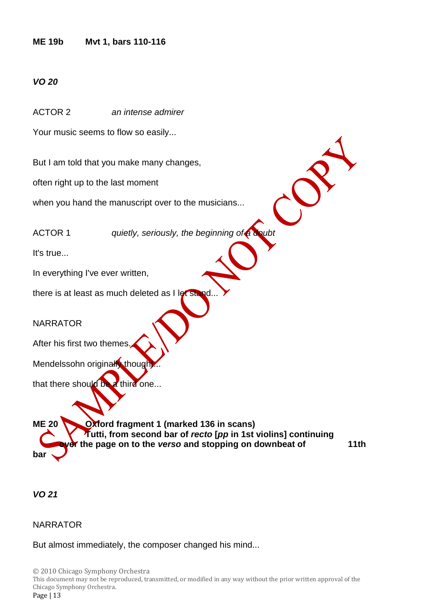### **ME 19b Mvt 1, bars 110-116**

## *VO 20*

ACTOR 2 *an intense admirer*

Your music seems to flow so easily...

But I am told that you make many changes,

often right up to the last moment

when you hand the manuscript over to the musicians...

ACTOR 1 *quietly, seriously, the beginning of a doubt*

It's true...

In everything I've ever written,

there is at least as much deleted as I let stand

**NARRATOR** 

After his first two themes

Mendelssohn originally though

that there should be a third one...

**ME 20 Oxford fragment 1 (marked 136 in scans) Tutti, from second bar of** *recto* **[***pp* **in 1st violins] continuing or** the page on to the *verso* and stopping on downbeat of 11th **bar** 

*VO 21*

**NARRATOR** 

But almost immediately, the composer changed his mind...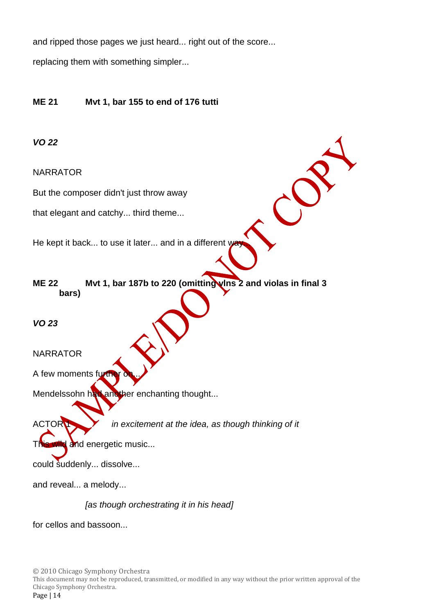and ripped those pages we just heard... right out of the score...

replacing them with something simpler...

# **ME 21 Mvt 1, bar 155 to end of 176 tutti**

## *VO 22*

NARRATOR

But the composer didn't just throw away

that elegant and catchy... third theme...

He kept it back... to use it later... and in a different way

**ME 22 Mvt 1, bar 187b to 220 (omitting vlns 2 and violas in final 3 bars)**

*VO 23*

NARRATOR

A few moments furth

Mendelssohn had another enchanting thought...

ACTOR **1** *in excitement at the idea, as though thinking of it* 

wild and energetic music...

could suddenly... dissolve...

and reveal... a melody...

*[as though orchestrating it in his head]*

for cellos and bassoon...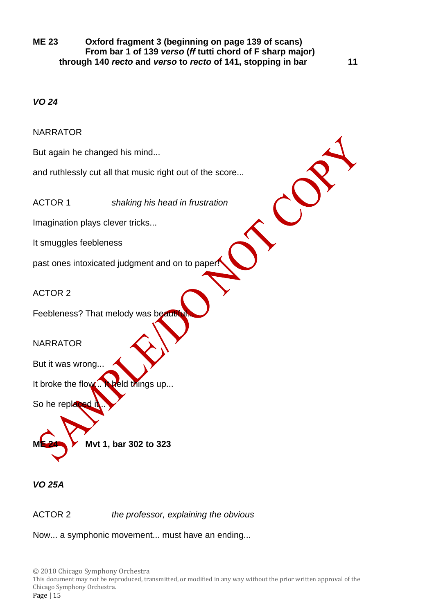**ME 23 Oxford fragment 3 (beginning on page 139 of scans) From bar 1 of 139** *verso* **(***ff* **tutti chord of F sharp major) through 140** *recto* **and** *verso* **to** *recto* **of 141, stopping in bar 11**

## *VO 24*

**NARRATOR** 

But again he changed his mind...

and ruthlessly cut all that music right out of the score...

ACTOR 1 *shaking his head in frustration*

Imagination plays clever tricks...

It smuggles feebleness

past ones intoxicated judgment and on to paper

ACTOR 2

Feebleness? That melody was beauti

### NARRATOR

But it was wrong...

It broke the flow... It held things up...

So he repla

**ME 24 Mvt 1, bar 302 to 323**

*VO 25A*

ACTOR 2 *the professor, explaining the obvious*

Now... a symphonic movement... must have an ending...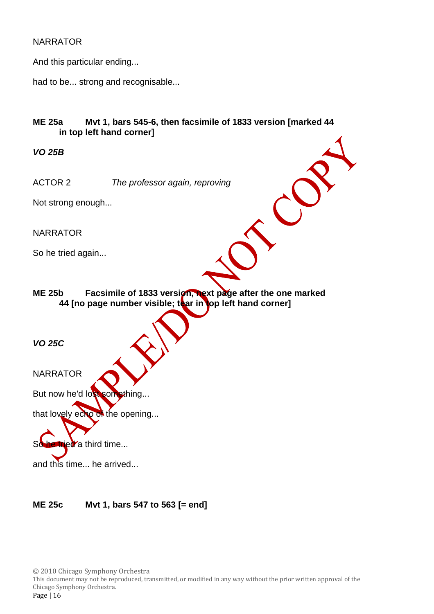### NARRATOR

And this particular ending...

had to be... strong and recognisable...

# **ME 25a Mvt 1, bars 545-6, then facsimile of 1833 version [marked 44 in top left hand corner]**

*VO 25B*

ACTOR 2 *The professor again, reproving*

Not strong enough...

NARRATOR

So he tried again...

ME 25b Facsimile of 1833 version, next page after the one marked **44 [no page number visible; tear in top left hand corner]**

*VO 25C*

**NARRATOR** 

But now he'd lost something...

that lovely echo of the opening...

So he tried a third time...

and this time... he arrived...

**ME 25c Mvt 1, bars 547 to 563 [= end]**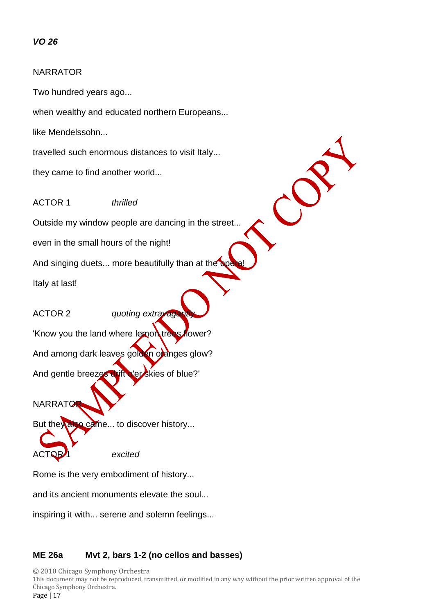# *VO 26*

### NARRATOR

Two hundred years ago...

when wealthy and educated northern Europeans...

like Mendelssohn...

travelled such enormous distances to visit Italy...

they came to find another world...

ACTOR 1 *thrilled*

Outside my window people are dancing in the street...

 $\mathcal{C}$ 

even in the small hours of the night!

And singing duets... more beautifully than at the  $\bullet$ 

Italy at last!

ACTOR 2 *quoting extravage* 

'Know you the land where lemon trees flower?

And among dark leaves golden oranges glow?

And gentle breezes drift o'er skies of blue?'

**NARRATO** 

But they also came... to discover history...

ACTOR 1 *excited*

Rome is the very embodiment of history...

and its ancient monuments elevate the soul...

inspiring it with... serene and solemn feelings...

# **ME 26a Mvt 2, bars 1-2 (no cellos and basses)**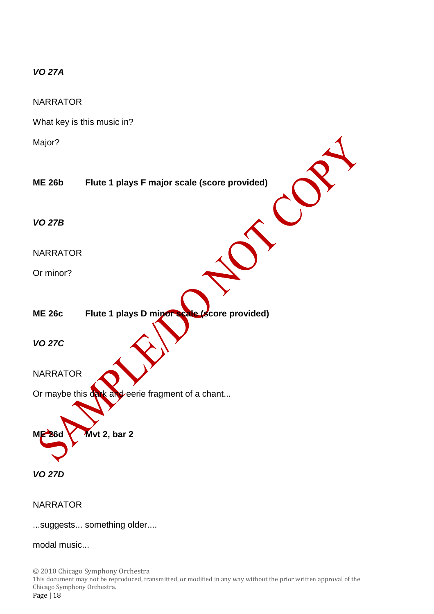# *VO 27A*

**NARRATOR** 

What key is this music in?

Major?

| iviujui i       |                                                  |
|-----------------|--------------------------------------------------|
| <b>ME 26b</b>   | Flute 1 plays F major scale (score provided)     |
| <b>VO 27B</b>   |                                                  |
| <b>NARRATOR</b> |                                                  |
| Or minor?       |                                                  |
| <b>ME 26c</b>   | Flute 1 plays D mipor scale (score provided)     |
| <b>VO 27C</b>   |                                                  |
| <b>NARRATOR</b> |                                                  |
|                 | Or maybe this dark and eerie fragment of a chant |
| <b>ME 26d</b>   | Mvt 2, bar 2                                     |
| <b>VO 27D</b>   |                                                  |

 $\overline{\mathcal{A}}$ 

NARRATOR

...suggests... something older....

modal music...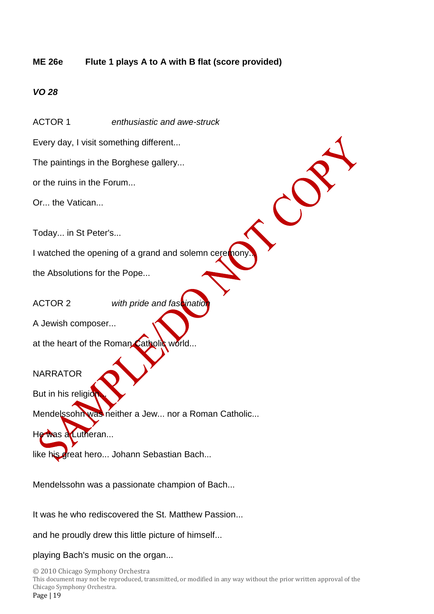# **ME 26e Flute 1 plays A to A with B flat (score provided)**

 $\mathcal{C}$ 

# *VO 28*

ACTOR 1 *enthusiastic and awe-struck*

Every day, I visit something different...

The paintings in the Borghese gallery...

or the ruins in the Forum...

Or... the Vatican...

Today... in St Peter's...

I watched the opening of a grand and solemn ceremon

the Absolutions for the Pope...

ACTOR 2 *with pride and fascinatic* 

A Jewish composer...

at the heart of the Roman Catholic world...

**NARRATOR** 

But in his religio

Mendelssohn was neither a Jew... nor a Roman Catholic...

He was a Lutheran...

like his great hero... Johann Sebastian Bach...

Mendelssohn was a passionate champion of Bach...

It was he who rediscovered the St. Matthew Passion...

and he proudly drew this little picture of himself...

playing Bach's music on the organ...